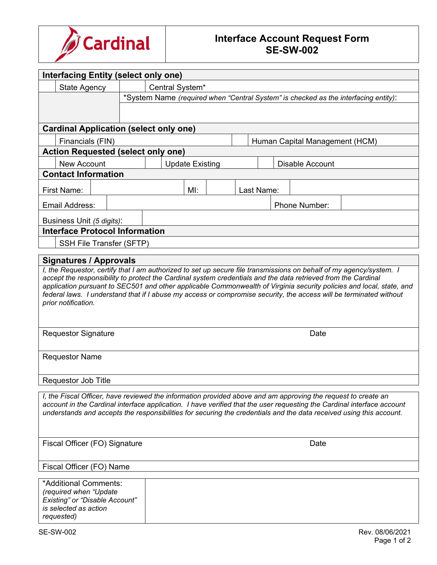

## **Interface Account Request Form SE-SW-002**

| Interfacing Entity (select only one)                                                                                                                                                                                                                                                                                                                           |                            |                                                                                     |        |      |            |  |  |               |  |  |
|----------------------------------------------------------------------------------------------------------------------------------------------------------------------------------------------------------------------------------------------------------------------------------------------------------------------------------------------------------------|----------------------------|-------------------------------------------------------------------------------------|--------|------|------------|--|--|---------------|--|--|
| <b>State Agency</b>                                                                                                                                                                                                                                                                                                                                            |                            | Central System*                                                                     |        |      |            |  |  |               |  |  |
|                                                                                                                                                                                                                                                                                                                                                                |                            | *System Name (required when "Central System" is checked as the interfacing entity): |        |      |            |  |  |               |  |  |
|                                                                                                                                                                                                                                                                                                                                                                |                            |                                                                                     |        |      |            |  |  |               |  |  |
|                                                                                                                                                                                                                                                                                                                                                                |                            |                                                                                     |        |      |            |  |  |               |  |  |
| <b>Cardinal Application (select only one)</b>                                                                                                                                                                                                                                                                                                                  |                            |                                                                                     |        |      |            |  |  |               |  |  |
| Financials (FIN)<br>Human Capital Management (HCM)<br><b>Action Requested (select only one)</b>                                                                                                                                                                                                                                                                |                            |                                                                                     |        |      |            |  |  |               |  |  |
| <b>New Account</b>                                                                                                                                                                                                                                                                                                                                             |                            | <b>Disable Account</b>                                                              |        |      |            |  |  |               |  |  |
| <b>Update Existing</b><br><b>Contact Information</b>                                                                                                                                                                                                                                                                                                           |                            |                                                                                     |        |      |            |  |  |               |  |  |
| <b>First Name:</b>                                                                                                                                                                                                                                                                                                                                             |                            |                                                                                     | $M!$ : |      | Last Name: |  |  |               |  |  |
|                                                                                                                                                                                                                                                                                                                                                                |                            |                                                                                     |        |      |            |  |  |               |  |  |
| Email Address:                                                                                                                                                                                                                                                                                                                                                 |                            |                                                                                     |        |      |            |  |  | Phone Number: |  |  |
| Business Unit (5 digits):                                                                                                                                                                                                                                                                                                                                      |                            |                                                                                     |        |      |            |  |  |               |  |  |
| <b>Interface Protocol Information</b>                                                                                                                                                                                                                                                                                                                          |                            |                                                                                     |        |      |            |  |  |               |  |  |
| SSH File Transfer (SFTP)                                                                                                                                                                                                                                                                                                                                       |                            |                                                                                     |        |      |            |  |  |               |  |  |
| <b>Signatures / Approvals</b><br>I, the Requestor, certify that I am authorized to set up secure file transmissions on behalf of my agency/system. I<br>accept the responsibility to protect the Cardinal system credentials and the data retrieved from the Cardinal                                                                                          |                            |                                                                                     |        |      |            |  |  |               |  |  |
| application pursuant to SEC501 and other applicable Commonwealth of Virginia security policies and local, state, and<br>federal laws. I understand that if I abuse my access or compromise security, the access will be terminated without                                                                                                                     |                            |                                                                                     |        |      |            |  |  |               |  |  |
| prior notification.                                                                                                                                                                                                                                                                                                                                            |                            |                                                                                     |        |      |            |  |  |               |  |  |
| <b>Requestor Signature</b>                                                                                                                                                                                                                                                                                                                                     |                            |                                                                                     |        | Date |            |  |  |               |  |  |
| <b>Requestor Name</b>                                                                                                                                                                                                                                                                                                                                          |                            |                                                                                     |        |      |            |  |  |               |  |  |
|                                                                                                                                                                                                                                                                                                                                                                | <b>Requestor Job Title</b> |                                                                                     |        |      |            |  |  |               |  |  |
| I, the Fiscal Officer, have reviewed the information provided above and am approving the request to create an<br>account in the Cardinal interface application. I have verified that the user requesting the Cardinal interface account<br>understands and accepts the responsibilities for securing the credentials and the data received using this account. |                            |                                                                                     |        |      |            |  |  |               |  |  |
| Fiscal Officer (FO) Signature<br>Date                                                                                                                                                                                                                                                                                                                          |                            |                                                                                     |        |      |            |  |  |               |  |  |
| Fiscal Officer (FO) Name                                                                                                                                                                                                                                                                                                                                       |                            |                                                                                     |        |      |            |  |  |               |  |  |
| *Additional Comments:<br>(required when "Update<br>Existing" or "Disable Account"<br>is selected as action<br>requested)                                                                                                                                                                                                                                       |                            |                                                                                     |        |      |            |  |  |               |  |  |